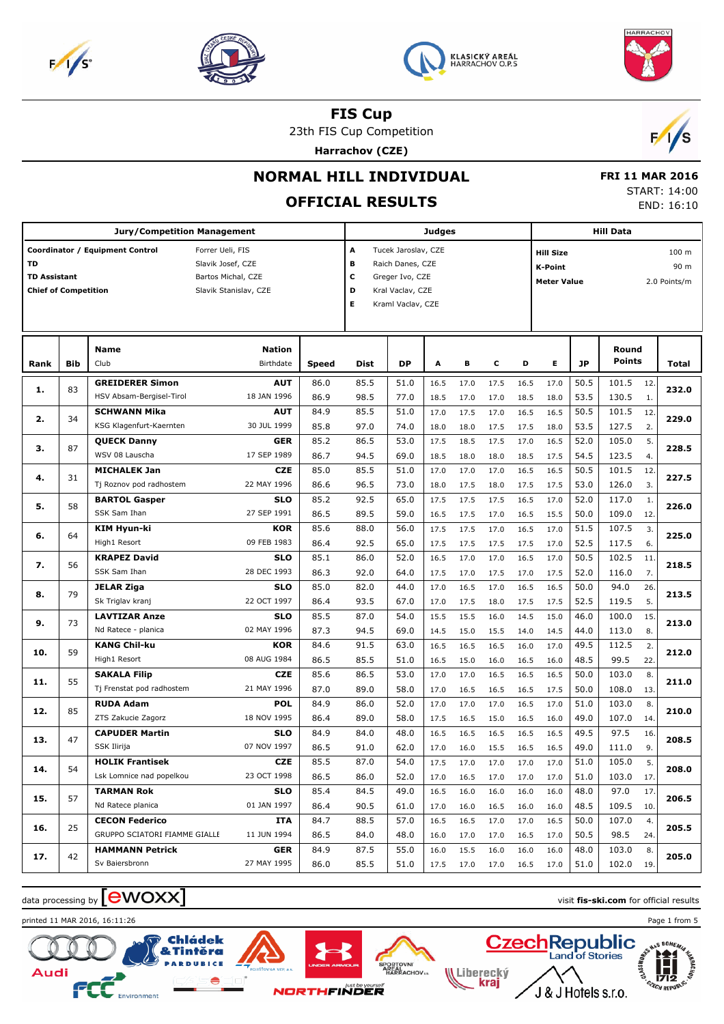





23th FIS Cup Competition **Harrachov (CZE)**



## **NORMAL HILL INDIVIDUAL**

# **OFFICIAL RESULTS**

 **FRI 11 MAR 2016** START: 14:00 END: 16:10

HARRACHOV

|                                                          |            | <b>Jury/Competition Management</b>              |                                                                                      | <b>Judges</b> |                       |                                                                                                     |              |              |              | <b>Hill Data</b>                           |              |              |                 |            |                               |  |
|----------------------------------------------------------|------------|-------------------------------------------------|--------------------------------------------------------------------------------------|---------------|-----------------------|-----------------------------------------------------------------------------------------------------|--------------|--------------|--------------|--------------------------------------------|--------------|--------------|-----------------|------------|-------------------------------|--|
| TD<br><b>TD Assistant</b><br><b>Chief of Competition</b> |            | Coordinator / Equipment Control                 | Forrer Ueli, FIS<br>Slavik Josef, CZE<br>Bartos Michal, CZE<br>Slavik Stanislav, CZE |               | А<br>в<br>c<br>D<br>Е | Tucek Jaroslav, CZE<br>Raich Danes, CZE<br>Greger Ivo, CZE<br>Kral Vaclav, CZE<br>Kraml Vaclav, CZE |              |              |              | <b>Hill Size</b><br>K-Point<br>Meter Value |              |              |                 |            | 100 m<br>90 m<br>2.0 Points/m |  |
| Rank                                                     | <b>Bib</b> | Name<br>Club                                    | <b>Nation</b><br>Birthdate                                                           | Speed         | Dist                  | DP                                                                                                  | A            | в            | c            | D                                          | Е            | <b>JP</b>    | Round<br>Points |            | Total                         |  |
| 1.                                                       | 83         | <b>GREIDERER Simon</b>                          | <b>AUT</b>                                                                           | 86.0          | 85.5                  | 51.0                                                                                                | 16.5         | 17.0         | 17.5         | 16.5                                       | 17.0         | 50.5         | 101.5           | 12.        | 232.0                         |  |
|                                                          |            | HSV Absam-Bergisel-Tirol<br><b>SCHWANN Mika</b> | 18 JAN 1996<br><b>AUT</b>                                                            | 86.9<br>84.9  | 98.5<br>85.5          | 77.0<br>51.0                                                                                        | 18.5<br>17.0 | 17.0<br>17.5 | 17.0<br>17.0 | 18.5<br>16.5                               | 18.0<br>16.5 | 53.5<br>50.5 | 130.5<br>101.5  | 1.<br>12.  |                               |  |
| 2.                                                       | 34         | KSG Klagenfurt-Kaernten                         | 30 JUL 1999                                                                          | 85.8          | 97.0                  | 74.0                                                                                                | 18.0         | 18.0         | 17.5         | 17.5                                       | 18.0         | 53.5         | 127.5           | 2.         | 229.0                         |  |
| з.                                                       | 87         | <b>QUECK Danny</b>                              | <b>GER</b>                                                                           | 85.2          | 86.5                  | 53.0                                                                                                | 17.5         | 18.5         | 17.5         | 17.0                                       | 16.5         | 52.0         | 105.0           | 5.         | 228.5                         |  |
|                                                          |            | WSV 08 Lauscha                                  | 17 SEP 1989                                                                          | 86.7          | 94.5                  | 69.0                                                                                                | 18.5         | 18.0         | 18.0         | 18.5                                       | 17.5         | 54.5         | 123.5           | 4.         |                               |  |
| 4.                                                       | 31         | <b>MICHALEK Jan</b>                             | <b>CZE</b>                                                                           | 85.0          | 85.5                  | 51.0                                                                                                | 17.0         | 17.0         | 17.0         | 16.5                                       | 16.5         | 50.5         | 101.5           | 12.        | 227.5                         |  |
|                                                          |            | Tj Roznov pod radhostem<br><b>BARTOL Gasper</b> | 22 MAY 1996<br><b>SLO</b>                                                            | 86.6<br>85.2  | 96.5<br>92.5          | 73.0<br>65.0                                                                                        | 18.0<br>17.5 | 17.5<br>17.5 | 18.0<br>17.5 | 17.5<br>16.5                               | 17.5<br>17.0 | 53.0<br>52.0 | 126.0<br>117.0  | 3.<br>1.   |                               |  |
| 5.                                                       | 58         | SSK Sam Ihan                                    | 27 SEP 1991                                                                          | 86.5          | 89.5                  | 59.0                                                                                                | 16.5         | 17.5         | 17.0         | 16.5                                       | 15.5         | 50.0         | 109.0           | 12.        | 226.0                         |  |
|                                                          |            | KIM Hyun-ki                                     | <b>KOR</b>                                                                           | 85.6          | 88.0                  | 56.0                                                                                                | 17.5         | 17.5         | 17.0         | 16.5                                       | 17.0         | 51.5         | 107.5           | 3.         |                               |  |
| 6.                                                       | 64         | High1 Resort                                    | 09 FEB 1983                                                                          | 86.4          | 92.5                  | 65.0                                                                                                | 17.5         | 17.5         | 17.5         | 17.5                                       | 17.0         | 52.5         | 117.5           | 6.         | 225.0                         |  |
| 7.                                                       | 56         | <b>KRAPEZ David</b>                             | <b>SLO</b>                                                                           | 85.1          | 86.0                  | 52.0                                                                                                | 16.5         | 17.0         | 17.0         | 16.5                                       | 17.0         | 50.5         | 102.5           | 11.        | 218.5                         |  |
|                                                          |            | SSK Sam Ihan                                    | 28 DEC 1993                                                                          | 86.3          | 92.0                  | 64.0                                                                                                | 17.5         | 17.0         | 17.5         | 17.0                                       | 17.5         | 52.0         | 116.0           | 7.         |                               |  |
| 8.                                                       | 79         | <b>JELAR Ziga</b><br>Sk Triglav kranj           | <b>SLO</b><br>22 OCT 1997                                                            | 85.0<br>86.4  | 82.0<br>93.5          | 44.0<br>67.0                                                                                        | 17.0<br>17.0 | 16.5<br>17.5 | 17.0<br>18.0 | 16.5<br>17.5                               | 16.5<br>17.5 | 50.0<br>52.5 | 94.0<br>119.5   | 26.<br>5.  | 213.5                         |  |
|                                                          |            | <b>LAVTIZAR Anze</b>                            | <b>SLO</b>                                                                           | 85.5          | 87.0                  | 54.0                                                                                                | 15.5         | 15.5         | 16.0         | 14.5                                       | 15.0         | 46.0         | 100.0           | 15.        |                               |  |
| 9.                                                       | 73         | Nd Ratece - planica                             | 02 MAY 1996                                                                          | 87.3          | 94.5                  | 69.0                                                                                                | 14.5         | 15.0         | 15.5         | 14.0                                       | 14.5         | 44.0         | 113.0           | 8.         | 213.0                         |  |
| 10.                                                      | 59         | <b>KANG Chil-ku</b>                             | <b>KOR</b>                                                                           | 84.6          | 91.5                  | 63.0                                                                                                | 16.5         | 16.5         | 16.5         | 16.0                                       | 17.0         | 49.5         | 112.5           | 2.         | 212.0                         |  |
|                                                          |            | High1 Resort                                    | 08 AUG 1984                                                                          | 86.5          | 85.5                  | 51.0                                                                                                | 16.5         | 15.0         | 16.0         | 16.5                                       | 16.0         | 48.5         | 99.5            | 22.        |                               |  |
| 11.                                                      | 55         | <b>SAKALA Filip</b>                             | <b>CZE</b>                                                                           | 85.6          | 86.5                  | 53.0                                                                                                | 17.0         | 17.0         | 16.5         | 16.5                                       | 16.5         | 50.0         | 103.0           | 8.         | 211.0                         |  |
|                                                          |            | Tj Frenstat pod radhostem<br><b>RUDA Adam</b>   | 21 MAY 1996<br><b>POL</b>                                                            | 87.0<br>84.9  | 89.0<br>86.0          | 58.0<br>52.0                                                                                        | 17.0<br>17.0 | 16.5<br>17.0 | 16.5<br>17.0 | 16.5<br>16.5                               | 17.5<br>17.0 | 50.0<br>51.0 | 108.0<br>103.0  | 13.<br>8.  |                               |  |
| 12.                                                      | 85         | ZTS Zakucie Zagorz                              | 18 NOV 1995                                                                          | 86.4          | 89.0                  | 58.0                                                                                                | 17.5         | 16.5         | 15.0         | 16.5                                       | 16.0         | 49.0         | 107.0           | 14.        | 210.0                         |  |
| 13.                                                      | 47         | <b>CAPUDER Martin</b>                           | <b>SLO</b>                                                                           | 84.9          | 84.0                  | 48.0                                                                                                | 16.5         | 16.5         | 16.5         | 16.5                                       | 16.5         | 49.5         | 97.5            | 16.        | 208.5                         |  |
|                                                          |            | SSK Ilirija                                     | 07 NOV 1997                                                                          | 86.5          | 91.0                  | 62.0                                                                                                | 17.0         | 16.0         | 15.5         | 16.5                                       | 16.5         | 49.0         | 111.0           | 9.         |                               |  |
| 14.                                                      | 54         | <b>HOLIK Frantisek</b>                          | <b>CZE</b>                                                                           | 85.5          | 87.0                  | 54.0                                                                                                | 17.5         | 17.0         | 17.0         | 17.0                                       | 17.0         | 51.0         | 105.0           | 5.         | 208.0                         |  |
|                                                          |            | Lsk Lomnice nad popelkou                        | 23 OCT 1998                                                                          | 86.5          | 86.0                  | 52.0                                                                                                | 17.0         | 16.5         | 17.0         | 17.0                                       | 17.0         | 51.0         | 103.0 17.       |            |                               |  |
| 15.                                                      | 57         | <b>TARMAN Rok</b><br>Nd Ratece planica          | <b>SLO</b><br>01 JAN 1997                                                            | 85.4<br>86.4  | 84.5<br>90.5          | 49.0<br>61.0                                                                                        | 16.5<br>17.0 | 16.0<br>16.0 | 16.0<br>16.5 | 16.0<br>16.0                               | 16.0<br>16.0 | 48.0<br>48.5 | 97.0<br>109.5   | 17.<br>10. | 206.5                         |  |
|                                                          |            | <b>CECON Federico</b>                           | ITA                                                                                  | 84.7          | 88.5                  | 57.0                                                                                                | 16.5         | 16.5         | 17.0         | 17.0                                       | 16.5         | 50.0         | 107.0           | 4.         |                               |  |
| 16.                                                      | 25         | GRUPPO SCIATORI FIAMME GIALLE                   | 11 JUN 1994                                                                          | 86.5          | 84.0                  | 48.0                                                                                                | 16.0         | 17.0         | 17.0         | 16.5                                       | 17.0         | 50.5         | 98.5            | 24.        | 205.5                         |  |
| 17.                                                      | 42         | <b>HAMMANN Petrick</b>                          | <b>GER</b>                                                                           | 84.9          | 87.5                  | 55.0                                                                                                | 16.0         | 15.5         | 16.0         | 16.0                                       | 16.0         | 48.0         | 103.0           | 8.         | 205.0                         |  |
|                                                          |            | Sv Baiersbronn                                  | 27 MAY 1995                                                                          | 86.0          | 85.5                  | 51.0                                                                                                | 17.5         | 17.0         | 17.0         | 16.5                                       | 17.0         | 51.0         | 102.0           | 19.        |                               |  |

# data processing by **CWOXX** and  $\overline{C}$  and  $\overline{C}$  and  $\overline{C}$  and  $\overline{C}$  and  $\overline{C}$  and  $\overline{C}$  and  $\overline{C}$  and  $\overline{C}$  and  $\overline{C}$  and  $\overline{C}$  and  $\overline{C}$  and  $\overline{C}$  and  $\overline{C}$  and  $\overline{C}$  and  $\overline{C}$

printed 11 MAR 2016, 16:11:26 Page 1 from 5







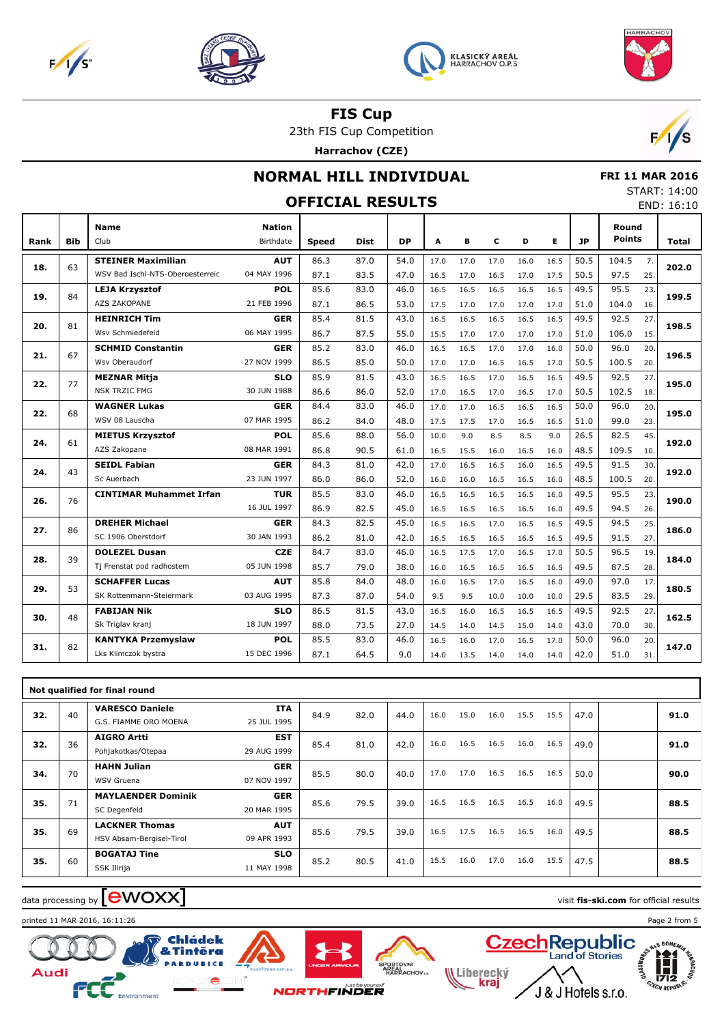







23th FIS Cup Competition

**Harrachov (CZE)**



#### **NORMAL HILL INDIVIDUAL**

 **FRI 11 MAR 2016** START: 14:00

|      |            |                                  |                            | <b>OFFICIAL RESULTS</b> |      |           |      |      |      |      |      |           |                        |     | JIANI. 17.00<br>END: 16:10 |
|------|------------|----------------------------------|----------------------------|-------------------------|------|-----------|------|------|------|------|------|-----------|------------------------|-----|----------------------------|
| Rank | <b>Bib</b> | <b>Name</b><br>Club              | <b>Nation</b><br>Birthdate | <b>Speed</b>            | Dist | <b>DP</b> | A    | В    | c    | D    | E.   | <b>JP</b> | Round<br><b>Points</b> |     | Total                      |
|      |            | <b>STEINER Maximilian</b>        | <b>AUT</b>                 | 86.3                    | 87.0 | 54.0      | 17.0 | 17.0 | 17.0 | 16.0 | 16.5 | 50.5      | 104.5                  | 7.  |                            |
| 18.  | 63         | WSV Bad Ischl-NTS-Oberoesterreic | 04 MAY 1996                | 87.1                    | 83.5 | 47.0      | 16.5 | 17.0 | 16.5 | 17.0 | 17.5 | 50.5      | 97.5                   | 25. | 202.0                      |
|      |            | <b>LEJA Krzysztof</b>            | <b>POL</b>                 | 85.6                    | 83.0 | 46.0      | 16.5 | 16.5 | 16.5 | 16.5 | 16.5 | 49.5      | 95.5                   | 23. |                            |
| 19.  | 84         | <b>AZS ZAKOPANE</b>              | 21 FEB 1996                | 87.1                    | 86.5 | 53.0      | 17.5 | 17.0 | 17.0 | 17.0 | 17.0 | 51.0      | 104.0                  | 16. | 199.5                      |
|      |            | <b>HEINRICH Tim</b>              | <b>GER</b>                 | 85.4                    | 81.5 | 43.0      | 16.5 | 16.5 | 16.5 | 16.5 | 16.5 | 49.5      | 92.5                   | 27. |                            |
| 20.  | 81         | Wsv Schmiedefeld                 | 06 MAY 1995                | 86.7                    | 87.5 | 55.0      | 15.5 | 17.0 | 17.0 | 17.0 | 17.0 | 51.0      | 106.0                  | 15. | 198.5                      |
|      | 67         | <b>SCHMID Constantin</b>         | <b>GER</b>                 | 85.2                    | 83.0 | 46.0      | 16.5 | 16.5 | 17.0 | 17.0 | 16.0 | 50.0      | 96.0                   | 20. | 196.5                      |
| 21.  |            | Wsv Oberaudorf                   | 27 NOV 1999                | 86.5                    | 85.0 | 50.0      | 17.0 | 17.0 | 16.5 | 16.5 | 17.0 | 50.5      | 100.5                  | 20. |                            |
| 22.  | 77         | <b>MEZNAR Mitja</b>              | <b>SLO</b>                 | 85.9                    | 81.5 | 43.0      | 16.5 | 16.5 | 17.0 | 16.5 | 16.5 | 49.5      | 92.5                   | 27. | 195.0                      |
|      |            | <b>NSK TRZIC FMG</b>             | 30 JUN 1988                | 86.6                    | 86.0 | 52.0      | 17.0 | 16.5 | 17.0 | 16.5 | 17.0 | 50.5      | 102.5                  | 18. |                            |
| 22.  | 68         | <b>WAGNER Lukas</b>              | <b>GER</b>                 | 84.4                    | 83.0 | 46.0      | 17.0 | 17.0 | 16.5 | 16.5 | 16.5 | 50.0      | 96.0                   | 20. | 195.0                      |
|      |            | WSV 08 Lauscha                   | 07 MAR 1995                | 86.2                    | 84.0 | 48.0      | 17.5 | 17.5 | 17.0 | 16.5 | 16.5 | 51.0      | 99.0                   | 23. |                            |
| 24.  | 61         | <b>MIETUS Krzysztof</b>          | <b>POL</b>                 | 85.6                    | 88.0 | 56.0      | 10.0 | 9.0  | 8.5  | 8.5  | 9.0  | 26.5      | 82.5                   | 45. | 192.0                      |
|      |            | AZS Zakopane                     | 08 MAR 1991                | 86.8                    | 90.5 | 61.0      | 16.5 | 15.5 | 16.0 | 16.5 | 16.0 | 48.5      | 109.5                  | 10. |                            |
| 24.  | 43         | <b>SEIDL Fabian</b>              | <b>GER</b>                 | 84.3                    | 81.0 | 42.0      | 17.0 | 16.5 | 16.5 | 16.0 | 16.5 | 49.5      | 91.5                   | 30. | 192.0                      |
|      |            | Sc Auerbach                      | 23 JUN 1997                | 86.0                    | 86.0 | 52.0      | 16.0 | 16.0 | 16.5 | 16.5 | 16.0 | 48.5      | 100.5                  | 20. |                            |
| 26.  | 76         | <b>CINTIMAR Muhammet Irfan</b>   | <b>TUR</b>                 | 85.5                    | 83.0 | 46.0      | 16.5 | 16.5 | 16.5 | 16.5 | 16.0 | 49.5      | 95.5                   | 23. | 190.0                      |
|      |            |                                  | 16 JUL 1997                | 86.9                    | 82.5 | 45.0      | 16.5 | 16.5 | 16.5 | 16.5 | 16.0 | 49.5      | 94.5                   | 26. |                            |
| 27.  | 86         | <b>DREHER Michael</b>            | <b>GER</b>                 | 84.3                    | 82.5 | 45.0      | 16.5 | 16.5 | 17.0 | 16.5 | 16.5 | 49.5      | 94.5                   | 25. | 186.0                      |
|      |            | SC 1906 Oberstdorf               | 30 JAN 1993                | 86.2                    | 81.0 | 42.0      | 16.5 | 16.5 | 16.5 | 16.5 | 16.5 | 49.5      | 91.5                   | 27. |                            |
| 28.  | 39         | <b>DOLEZEL Dusan</b>             | <b>CZE</b>                 | 84.7                    | 83.0 | 46.0      | 16.5 | 17.5 | 17.0 | 16.5 | 17.0 | 50.5      | 96.5                   | 19. | 184.0                      |
|      |            | Tj Frenstat pod radhostem        | 05 JUN 1998                | 85.7                    | 79.0 | 38.0      | 16.0 | 16.5 | 16.5 | 16.5 | 16.5 | 49.5      | 87.5                   | 28. |                            |
| 29.  | 53         | <b>SCHAFFER Lucas</b>            | <b>AUT</b>                 | 85.8                    | 84.0 | 48.0      | 16.0 | 16.5 | 17.0 | 16.5 | 16.0 | 49.0      | 97.0                   | 17. | 180.5                      |
|      |            | SK Rottenmann-Steiermark         | 03 AUG 1995                | 87.3                    | 87.0 | 54.0      | 9.5  | 9.5  | 10.0 | 10.0 | 10.0 | 29.5      | 83.5                   | 29. |                            |
| 30.  | 48         | <b>FABIJAN Nik</b>               | <b>SLO</b>                 | 86.5                    | 81.5 | 43.0      | 16.5 | 16.0 | 16.5 | 16.5 | 16.5 | 49.5      | 92.5                   | 27. | 162.5                      |
|      |            | Sk Triglav kranj                 | 18 JUN 1997                | 88.0                    | 73.5 | 27.0      | 14.5 | 14.0 | 14.5 | 15.0 | 14.0 | 43.0      | 70.0                   | 30. |                            |
| 31.  | 82         | <b>KANTYKA Przemyslaw</b>        | <b>POL</b>                 | 85.5                    | 83.0 | 46.0      | 16.5 | 16.0 | 17.0 | 16.5 | 17.0 | 50.0      | 96.0                   | 20. | 147.0                      |
|      |            | Lks Klimczok bystra              | 15 DEC 1996                | 87.1                    | 64.5 | 9.0       | 14.0 | 13.5 | 14.0 | 14.0 | 14.0 | 42.0      | 51.0                   | 31. |                            |

|     |    | Not qualified for final round |             |      |      |      |      |      |      |      |      |      |      |
|-----|----|-------------------------------|-------------|------|------|------|------|------|------|------|------|------|------|
| 32. | 40 | <b>VARESCO Daniele</b>        | <b>ITA</b>  | 84.9 | 82.0 | 44.0 | 16.0 | 15.0 | 16.0 | 15.5 | 15.5 | 47.0 | 91.0 |
|     |    | G.S. FIAMME ORO MOENA         | 25 JUL 1995 |      |      |      |      |      |      |      |      |      |      |
| 32. | 36 | <b>AIGRO Artti</b>            | <b>EST</b>  | 85.4 | 81.0 | 42.0 | 16.0 | 16.5 | 16.5 | 16.0 | 16.5 | 49.0 | 91.0 |
|     |    | Pohjakotkas/Otepaa            | 29 AUG 1999 |      |      |      |      |      |      |      |      |      |      |
| 34. | 70 | <b>HAHN Julian</b>            | <b>GER</b>  | 85.5 | 80.0 | 40.0 | 17.0 | 17.0 | 16.5 | 16.5 | 16.5 | 50.0 | 90.0 |
|     |    | WSV Gruena                    | 07 NOV 1997 |      |      |      |      |      |      |      |      |      |      |
| 35. | 71 | <b>MAYLAENDER Dominik</b>     | <b>GER</b>  | 85.6 | 79.5 | 39.0 | 16.5 | 16.5 | 16.5 | 16.5 | 16.0 | 49.5 | 88.5 |
|     |    | SC Degenfeld                  | 20 MAR 1995 |      |      |      |      |      |      |      |      |      |      |
| 35. | 69 | <b>LACKNER Thomas</b>         | <b>AUT</b>  | 85.6 | 79.5 | 39.0 | 16.5 | 17.5 | 16.5 | 16.5 | 16.0 | 49.5 | 88.5 |
|     |    | HSV Absam-Bergisel-Tirol      | 09 APR 1993 |      |      |      |      |      |      |      |      |      |      |
| 35. | 60 | <b>BOGATAJ Tine</b>           | <b>SLO</b>  | 85.2 | 80.5 | 41.0 | 15.5 | 16.0 | 17.0 | 16.0 | 15.5 | 47.5 | 88.5 |
|     |    | SSK Ilirija                   | 11 MAY 1998 |      |      |      |      |      |      |      |      |      |      |

## $\frac{1}{2}$  data processing by  $\boxed{\text{ewOX}}$

printed 11 MAR 2016, 16:11:26 Page 2 from 5







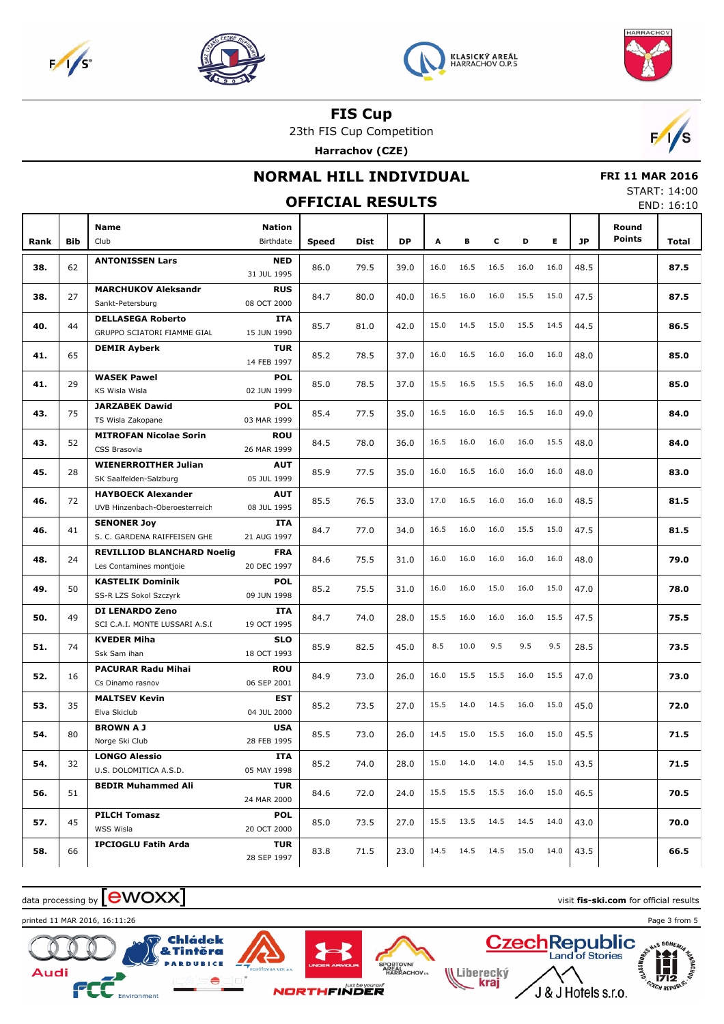







23th FIS Cup Competition

**Harrachov (CZE)**



## **NORMAL HILL INDIVIDUAL**

 **FRI 11 MAR 2016** START: 14:00 END: 16:10

|      |            |                                                         |                           | <b>OFFICIAL RESULTS</b> |      |      |      |           |           |      |      |           |        | JIANI, 17.00<br>END: 16:10 |
|------|------------|---------------------------------------------------------|---------------------------|-------------------------|------|------|------|-----------|-----------|------|------|-----------|--------|----------------------------|
|      |            | Name                                                    | <b>Nation</b>             |                         |      |      |      |           |           |      |      |           | Round  |                            |
| Rank | <b>Bib</b> | Club                                                    | Birthdate                 | <b>Speed</b>            | Dist | DP   | Α    | в         | c         | D    | Е    | <b>JP</b> | Points | Total                      |
| 38.  | 62         | <b>ANTONISSEN Lars</b>                                  | <b>NED</b>                | 86.0                    | 79.5 | 39.0 | 16.0 | 16.5      | 16.5      | 16.0 | 16.0 | 48.5      |        | 87.5                       |
|      |            |                                                         | 31 JUL 1995               |                         |      |      |      |           |           |      |      |           |        |                            |
| 38.  | 27         | <b>MARCHUKOV Aleksandr</b>                              | <b>RUS</b>                | 84.7                    | 80.0 | 40.0 | 16.5 | 16.0      | 16.0      | 15.5 | 15.0 | 47.5      |        | 87.5                       |
|      |            | Sankt-Petersburg                                        | 08 OCT 2000               |                         |      |      |      |           |           |      |      |           |        |                            |
| 40.  | 44         | <b>DELLASEGA Roberto</b><br>GRUPPO SCIATORI FIAMME GIAL | <b>ITA</b><br>15 JUN 1990 | 85.7                    | 81.0 | 42.0 | 15.0 | 14.5      | 15.0      | 15.5 | 14.5 | 44.5      |        | 86.5                       |
|      |            | <b>DEMIR Ayberk</b>                                     | <b>TUR</b>                |                         |      |      |      |           |           |      |      |           |        |                            |
| 41.  | 65         |                                                         | 14 FEB 1997               | 85.2                    | 78.5 | 37.0 | 16.0 | 16.5      | 16.0      | 16.0 | 16.0 | 48.0      |        | 85.0                       |
| 41.  | 29         | <b>WASEK Pawel</b>                                      | <b>POL</b>                | 85.0                    | 78.5 | 37.0 | 15.5 | 16.5      | 15.5      | 16.5 | 16.0 | 48.0      |        | 85.0                       |
|      |            | KS Wisla Wisla                                          | 02 JUN 1999               |                         |      |      |      |           |           |      |      |           |        |                            |
| 43.  | 75         | <b>JARZABEK Dawid</b>                                   | <b>POL</b>                | 85.4                    | 77.5 | 35.0 | 16.5 | 16.0      | 16.5      | 16.5 | 16.0 | 49.0      |        | 84.0                       |
|      |            | TS Wisla Zakopane                                       | 03 MAR 1999               |                         |      |      |      |           |           |      |      |           |        |                            |
| 43.  | 52         | <b>MITROFAN Nicolae Sorin</b><br>CSS Brasovia           | <b>ROU</b><br>26 MAR 1999 | 84.5                    | 78.0 | 36.0 | 16.5 | 16.0      | 16.0      | 16.0 | 15.5 | 48.0      |        | 84.0                       |
|      |            | <b>WIENERROITHER Julian</b>                             | <b>AUT</b>                |                         |      |      |      |           |           |      |      |           |        |                            |
| 45.  | 28         | SK Saalfelden-Salzburg                                  | 05 JUL 1999               | 85.9                    | 77.5 | 35.0 | 16.0 | 16.5      | 16.0      | 16.0 | 16.0 | 48.0      |        | 83.0                       |
|      |            | <b>HAYBOECK Alexander</b>                               | <b>AUT</b>                |                         |      |      |      |           |           |      |      |           |        |                            |
| 46.  | 72         | UVB Hinzenbach-Oberoesterreich                          | 08 JUL 1995               | 85.5                    | 76.5 | 33.0 | 17.0 | 16.5      | 16.0      | 16.0 | 16.0 | 48.5      |        | 81.5                       |
| 46.  | 41         | <b>SENONER Joy</b>                                      | <b>ITA</b>                | 84.7                    | 77.0 | 34.0 | 16.5 | 16.0      | 16.0      | 15.5 | 15.0 | 47.5      |        | 81.5                       |
|      |            | S. C. GARDENA RAIFFEISEN GHE                            | 21 AUG 1997               |                         |      |      |      |           |           |      |      |           |        |                            |
| 48.  | 24         | <b>REVILLIOD BLANCHARD Noelig</b>                       | <b>FRA</b>                | 84.6                    | 75.5 | 31.0 | 16.0 | 16.0      | 16.0      | 16.0 | 16.0 | 48.0      |        | 79.0                       |
|      |            | Les Contamines montjoie                                 | 20 DEC 1997               |                         |      |      |      |           |           |      |      |           |        |                            |
| 49.  | 50         | <b>KASTELIK Dominik</b><br>SS-R LZS Sokol Szczyrk       | <b>POL</b><br>09 JUN 1998 | 85.2                    | 75.5 | 31.0 | 16.0 | 16.0      | 15.0      | 16.0 | 15.0 | 47.0      |        | 78.0                       |
|      |            | <b>DI LENARDO Zeno</b>                                  | <b>ITA</b>                |                         |      |      |      |           |           |      |      |           |        |                            |
| 50.  | 49         | SCI C.A.I. MONTE LUSSARI A.S.I                          | 19 OCT 1995               | 84.7                    | 74.0 | 28.0 | 15.5 | 16.0      | 16.0      | 16.0 | 15.5 | 47.5      |        | 75.5                       |
|      |            | <b>KVEDER Miha</b>                                      | <b>SLO</b>                |                         |      |      |      |           |           |      |      |           |        |                            |
| 51.  | 74         | Ssk Sam ihan                                            | 18 OCT 1993               | 85.9                    | 82.5 | 45.0 | 8.5  | 10.0      | 9.5       | 9.5  | 9.5  | 28.5      |        | 73.5                       |
| 52.  | 16         | <b>PACURAR Radu Mihai</b>                               | <b>ROU</b>                | 84.9                    | 73.0 | 26.0 | 16.0 | 15.5      | 15.5      | 16.0 | 15.5 | 47.0      |        | 73.0                       |
|      |            | Cs Dinamo rasnov                                        | 06 SEP 2001               |                         |      |      |      |           |           |      |      |           |        |                            |
| 53.  | 35         | <b>MALTSEV Kevin</b>                                    | <b>EST</b>                | 85.2                    | 73.5 | 27.0 | 15.5 | 14.0      | 14.5      | 16.0 | 15.0 | 45.0      |        | 72.0                       |
|      |            | Elva Skiclub                                            | 04 JUL 2000               |                         |      |      |      |           |           |      |      |           |        |                            |
| 54.  | 80         | <b>BROWNAJ</b>                                          | <b>USA</b><br>28 FEB 1995 | 85.5                    | 73.0 | 26.0 | 14.5 | 15.0      | 15.5      | 16.0 | 15.0 | 45.5      |        | 71.5                       |
|      |            | Norge Ski Club<br><b>LONGO Alessio</b>                  | <b>ITA</b>                |                         |      |      |      |           |           |      |      |           |        |                            |
| 54.  | 32         | U.S. DOLOMITICA A.S.D.                                  | 05 MAY 1998               | 85.2                    | 74.0 | 28.0 | 15.0 |           | 14.0 14.0 | 14.5 | 15.0 | 43.5      |        | 71.5                       |
|      |            | <b>BEDIR Muhammed Ali</b>                               | <b>TUR</b>                |                         |      |      |      |           |           |      |      |           |        |                            |
| 56.  | 51         |                                                         | 24 MAR 2000               | 84.6                    | 72.0 | 24.0 | 15.5 | 15.5      | 15.5      | 16.0 | 15.0 | 46.5      |        | 70.5                       |
| 57.  | 45         | <b>PILCH Tomasz</b>                                     | <b>POL</b>                | 85.0                    | 73.5 | 27.0 | 15.5 | 13.5      | 14.5      | 14.5 | 14.0 | 43.0      |        | 70.0                       |
|      |            | WSS Wisla                                               | 20 OCT 2000               |                         |      |      |      |           |           |      |      |           |        |                            |
| 58.  | 66         | <b>IPCIOGLU Fatih Arda</b>                              | <b>TUR</b><br>28 SEP 1997 | 83.8                    | 71.5 | 23.0 | 14.5 | 14.5 14.5 |           | 15.0 | 14.0 | 43.5      |        | 66.5                       |

# data processing by **CWOXX** and  $\overline{C}$  and  $\overline{C}$  and  $\overline{C}$  and  $\overline{C}$  and  $\overline{C}$  and  $\overline{C}$  and  $\overline{C}$  and  $\overline{C}$  and  $\overline{C}$  and  $\overline{C}$  and  $\overline{C}$  and  $\overline{C}$  and  $\overline{C}$  and  $\overline{C}$  and  $\overline{C}$

**Chládek** & Tintěra **DUBICE** 

printed 11 MAR 2016, 16:11:26 Page 3 from 5







Liberecký<br>**Kraj**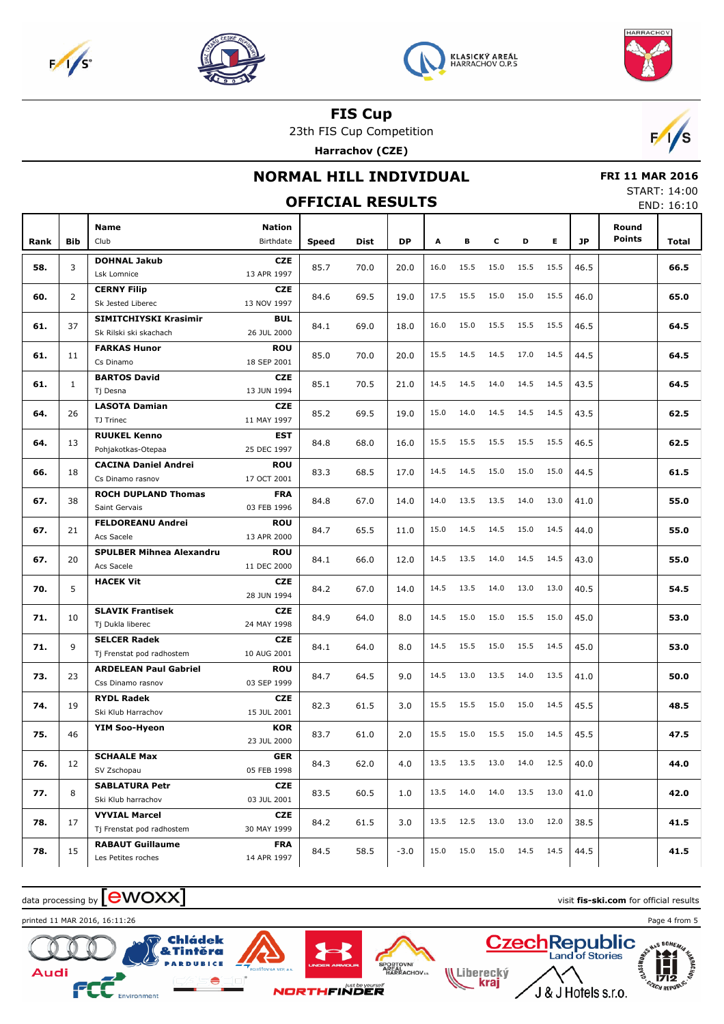







23th FIS Cup Competition

**Harrachov (CZE)**



## **NORMAL HILL INDIVIDUAL**

 **FRI 11 MAR 2016** START: 14:00

#### **OFFICIAL RESULTS** END: 16:10 **Bib Name** Club Birthdate **Nation Rank Speed Dist DP A B C D E JP Total Round Points DOHNAL Jakub** Lsk Lomnice **CZE** 13 APR 1997 **58.** 3 85.7 70.0 20.0 16.0 15.5 15.0 15.5 15.5 46.5 **66.5 CERNY Filip** Sk Jested Liberec **CZE** 13 NOV 1997 **60.** 2 84.6 69.5 19.0 17.5 15.5 15.0 15.0 15.5 46.0 **65.0 SIMITCHIYSKI Krasimir** Sk Rilski ski skachach **BUL** 26 JUL 2000 **61.** 37 84.1 69.0 18.0 16.0 15.0 15.5 15.5 15.5 46.5 **64.5 FARKAS Hunor** Cs Dinamo **ROU** 18 SEP 2001 **61.** 11 85.0 70.0 20.0 15.5 14.5 14.5 17.0 14.5 44.5 **64.5 BARTOS David** Tj Desna **CZE** 13 JUN 1994 **61.** 1 85.1 70.5 21.0 14.5 14.5 14.0 14.5 14.5 43.5 **64.5 LASOTA Damian** TJ Trinec **CZE** 11 MAY 1997 **64.** 26 85.2 69.5 19.0 15.0 14.0 14.5 14.5 14.5 43.5 **62.5 RUUKEL Kenno** Pohjakotkas-Otepaa **EST** 25 DEC 1997 **64.** 13 84.8 68.0 16.0 15.5 15.5 15.5 15.5 15.5 46.5 **62.5 CACINA Daniel Andrei** Cs Dinamo rasnov **ROU** 17 OCT 2001 **66.** | 18 | **61.5 68.5** | **83.3 68.5** | 17.0 | 14.5 14.5 15.0 15.0 | 15.0 | 44.5 | **61.5 ROCH DUPLAND Thomas** Saint Gervais **FRA** 03 FEB 1996 **67.** 38 84.8 67.0 14.0 14.0 13.5 13.5 14.0 13.0 41.0 **55.0 FELDOREANU Andrei** Acs Sacele **ROU** 13 APR 2000 **67.** 21 84.7 65.5 11.0 15.0 14.5 14.5 15.0 14.5 44.0 **55.0 SPULBER Mihnea Alexandru** Acs Sacele **ROU** 11 DEC 2000 **67.** 20 84.1 66.0 12.0 14.5 13.5 14.0 14.5 14.5 43.0 **55.0 HACEK Vit CZE** 28 JUN 1994 **70.** 5 84.2 67.0 14.0 14.5 13.5 14.0 13.0 13.0 40.5 **54.5 SLAVIK Frantisek** Tj Dukla liberec **CZE** 24 MAY 1998 **71.** 10 84.9 64.0 8.0 14.5 15.0 15.0 15.5 15.0 45.0 **53.0 SELCER Radek** Tj Frenstat pod radhostem **CZE** 10 AUG 2001 **71.** 9 84.1 64.0 8.0 14.5 15.5 15.0 15.5 14.5 45.0 **53.0 ARDELEAN Paul Gabriel** Css Dinamo rasnov **ROU** 03 SEP 1999 **73.** 23 84.7 64.5 9.0 14.5 13.0 13.5 14.0 13.5 41.0 **50.0 RYDL Radek** Ski Klub Harrachov **CZE** 15 JUL 2001 **74.** 19 82.3 61.5 3.0 15.5 15.5 15.0 15.0 14.5 45.5 **48.5 YIM Soo-Hyeon KOR** 23 JUL 2000 **75.** 46 83.7 61.0 2.0 15.5 15.0 15.5 15.0 14.5 45.5 **47.5 SCHAALE Max** SV Zschopau **GER** 05 FEB 1998 **76.** | 12 | <sub>1111</sub> | 12 | 1212 | 1223 | 13.3 | 13.5 | 13.5 | 13.5 | 13.5 | 13.5 | 13.6 | 14.0 | 12.5 | 40.0 | 12.5 | 40.0 | 12.5 | 40.0 | 12.5 | 40.0 | 12.5 | 40.0 | 12.5 | 40.0 | 12.5 | 40.0 | 12.5 | 40.0 | 12.5 | 40.0 | **SABLATURA Petr** Ski Klub harrachov **CZE** 03 JUL 2001 **77.** 8 . **18.6 1.0 11.0 12.0 42.0 13.5 12.0 13.5 14.0 13.5 14.0 13.5 13.0 41.0 42.0 VYVIAL Marcel** Tj Frenstat pod radhostem **CZE** 30 MAY 1999 **78.**  $\begin{bmatrix} 17 & | & \_ \end{bmatrix}$  **41.5 41.5 41.5 41.5 41.6 41.6 41.6 41.6 41.6 41.6 RABAUT Guillaume** Les Petites roches **FRA** 14 APR 1997 **78.** 15 84.5 58.5 -3.0 15.0 15.0 15.0 14.5 14.5 44.5 **41.5**

data processing by  $\lfloor$  **CWOXX**  $\rfloor$  and the set of the set of the set of the set of the set of official results



& Tintěra

Chládek





**WLiberecký** 

krai